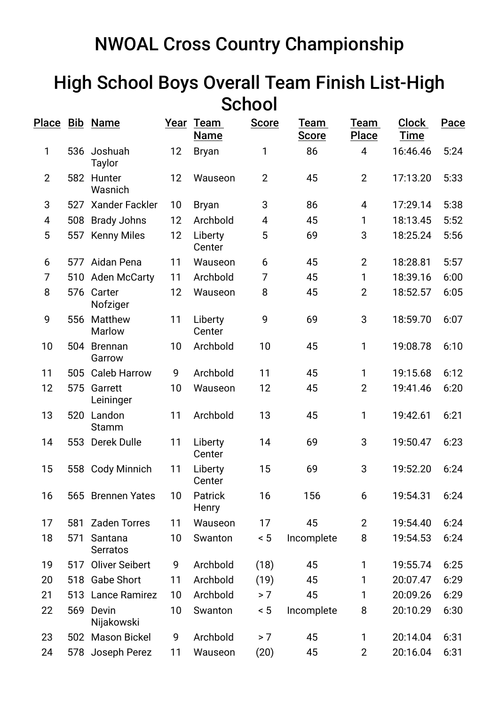## NWOAL Cross Country Championship

## High School Boys Overall Team Finish List-High **School**

|                |     | Place Bib Name           |    | Year Team<br><b>Name</b> | <b>Score</b>   | Team<br><b>Score</b> | Team<br><b>Place</b> | <b>Clock</b><br><b>Time</b> | Pace |
|----------------|-----|--------------------------|----|--------------------------|----------------|----------------------|----------------------|-----------------------------|------|
| 1              | 536 | Joshuah<br>Taylor        | 12 | <b>Bryan</b>             | 1              | 86                   | 4                    | 16:46.46                    | 5:24 |
| $\overline{2}$ | 582 | Hunter<br>Wasnich        | 12 | Wauseon                  | $\overline{2}$ | 45                   | $\overline{2}$       | 17:13.20                    | 5:33 |
| 3              | 527 | <b>Xander Fackler</b>    | 10 | <b>Bryan</b>             | 3              | 86                   | 4                    | 17:29.14                    | 5:38 |
| 4              | 508 | <b>Brady Johns</b>       | 12 | Archbold                 | 4              | 45                   | 1                    | 18:13.45                    | 5:52 |
| 5              |     | 557 Kenny Miles          | 12 | Liberty<br>Center        | 5              | 69                   | 3                    | 18:25.24                    | 5:56 |
| 6              |     | 577 Aidan Pena           | 11 | Wauseon                  | 6              | 45                   | $\overline{2}$       | 18:28.81                    | 5:57 |
| 7              | 510 | <b>Aden McCarty</b>      | 11 | Archbold                 | 7              | 45                   | 1                    | 18:39.16                    | 6:00 |
| 8              |     | 576 Carter<br>Nofziger   | 12 | Wauseon                  | 8              | 45                   | $\overline{2}$       | 18:52.57                    | 6:05 |
| 9              | 556 | Matthew<br>Marlow        | 11 | Liberty<br>Center        | 9              | 69                   | 3                    | 18:59.70                    | 6:07 |
| 10             | 504 | <b>Brennan</b><br>Garrow | 10 | Archbold                 | 10             | 45                   | 1                    | 19:08.78                    | 6:10 |
| 11             | 505 | <b>Caleb Harrow</b>      | 9  | Archbold                 | 11             | 45                   | 1                    | 19:15.68                    | 6:12 |
| 12             | 575 | Garrett<br>Leininger     | 10 | Wauseon                  | 12             | 45                   | $\overline{2}$       | 19:41.46                    | 6:20 |
| 13             | 520 | Landon<br>Stamm          | 11 | Archbold                 | 13             | 45                   | 1                    | 19:42.61                    | 6:21 |
| 14             |     | 553 Derek Dulle          | 11 | Liberty<br>Center        | 14             | 69                   | 3                    | 19:50.47                    | 6:23 |
| 15             |     | 558 Cody Minnich         | 11 | Liberty<br>Center        | 15             | 69                   | 3                    | 19:52.20                    | 6:24 |
| 16             |     | 565 Brennen Yates        | 10 | Patrick<br>Henry         | 16             | 156                  | 6                    | 19:54.31                    | 6:24 |
| 17             | 581 | <b>Zaden Torres</b>      | 11 | Wauseon                  | 17             | 45                   | $\overline{2}$       | 19:54.40                    | 6:24 |
| 18             | 571 | Santana<br>Serratos      | 10 | Swanton                  | $\leq 5$       | Incomplete           | 8                    | 19:54.53                    | 6:24 |
| 19             | 517 | <b>Oliver Seibert</b>    | 9  | Archbold                 | (18)           | 45                   | 1                    | 19:55.74                    | 6:25 |
| 20             |     | 518 Gabe Short           | 11 | Archbold                 | (19)           | 45                   | 1                    | 20:07.47                    | 6:29 |
| 21             |     | 513 Lance Ramirez        | 10 | Archbold                 | > 7            | 45                   | 1                    | 20:09.26                    | 6:29 |
| 22             |     | 569 Devin<br>Nijakowski  | 10 | Swanton                  | ~< 5           | Incomplete           | 8                    | 20:10.29                    | 6:30 |
| 23             |     | 502 Mason Bickel         | 9  | Archbold                 | > 7            | 45                   | 1                    | 20:14.04                    | 6:31 |
| 24             |     | 578 Joseph Perez         | 11 | Wauseon                  | (20)           | 45                   | $\overline{2}$       | 20:16.04                    | 6:31 |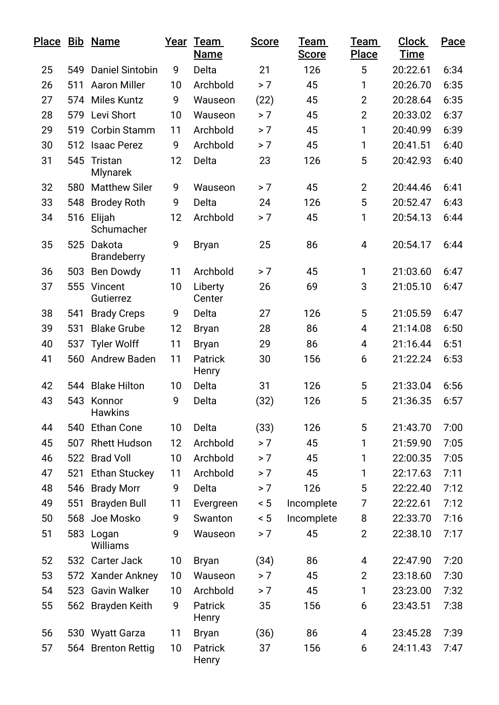|    |     | Place Bib Name               |    | Year Team<br><b>Name</b> | <b>Score</b> | Team<br><b>Score</b> | Team<br><b>Place</b> | <b>Clock</b><br><u>Time</u> | Pace |
|----|-----|------------------------------|----|--------------------------|--------------|----------------------|----------------------|-----------------------------|------|
| 25 | 549 | <b>Daniel Sintobin</b>       | 9  | Delta                    | 21           | 126                  | 5                    | 20:22.61                    | 6:34 |
| 26 | 511 | <b>Aaron Miller</b>          | 10 | Archbold                 | > 7          | 45                   | 1                    | 20:26.70                    | 6:35 |
| 27 |     | 574 Miles Kuntz              | 9  | Wauseon                  | (22)         | 45                   | $\overline{2}$       | 20:28.64                    | 6:35 |
| 28 |     | 579 Levi Short               | 10 | Wauseon                  | > 7          | 45                   | $\overline{2}$       | 20:33.02                    | 6:37 |
| 29 | 519 | <b>Corbin Stamm</b>          | 11 | Archbold                 | > 7          | 45                   | $\mathbf{1}$         | 20:40.99                    | 6:39 |
| 30 | 512 | <b>Isaac Perez</b>           | 9  | Archbold                 | > 7          | 45                   | 1                    | 20:41.51                    | 6:40 |
| 31 | 545 | Tristan<br><b>Mlynarek</b>   | 12 | Delta                    | 23           | 126                  | 5                    | 20:42.93                    | 6:40 |
| 32 | 580 | <b>Matthew Siler</b>         | 9  | Wauseon                  | > 7          | 45                   | $\overline{2}$       | 20:44.46                    | 6:41 |
| 33 | 548 | <b>Brodey Roth</b>           | 9  | Delta                    | 24           | 126                  | 5                    | 20:52.47                    | 6:43 |
| 34 | 516 | Elijah<br>Schumacher         | 12 | Archbold                 | > 7          | 45                   | 1                    | 20:54.13                    | 6:44 |
| 35 | 525 | Dakota<br><b>Brandeberry</b> | 9  | <b>Bryan</b>             | 25           | 86                   | 4                    | 20:54.17                    | 6:44 |
| 36 | 503 | <b>Ben Dowdy</b>             | 11 | Archbold                 | > 7          | 45                   | 1                    | 21:03.60                    | 6:47 |
| 37 | 555 | Vincent<br>Gutierrez         | 10 | Liberty<br>Center        | 26           | 69                   | 3                    | 21:05.10                    | 6:47 |
| 38 | 541 | <b>Brady Creps</b>           | 9  | Delta                    | 27           | 126                  | 5                    | 21:05.59                    | 6:47 |
| 39 | 531 | <b>Blake Grube</b>           | 12 | <b>Bryan</b>             | 28           | 86                   | 4                    | 21:14.08                    | 6:50 |
| 40 | 537 | <b>Tyler Wolff</b>           | 11 | <b>Bryan</b>             | 29           | 86                   | 4                    | 21:16.44                    | 6:51 |
| 41 |     | 560 Andrew Baden             | 11 | <b>Patrick</b><br>Henry  | 30           | 156                  | 6                    | 21:22.24                    | 6:53 |
| 42 | 544 | <b>Blake Hilton</b>          | 10 | Delta                    | 31           | 126                  | 5                    | 21:33.04                    | 6:56 |
| 43 |     | 543 Konnor<br><b>Hawkins</b> | 9  | Delta                    | (32)         | 126                  | 5                    | 21:36.35                    | 6:57 |
| 44 | 540 | <b>Ethan Cone</b>            | 10 | Delta                    | (33)         | 126                  | 5                    | 21:43.70                    | 7:00 |
| 45 | 507 | <b>Rhett Hudson</b>          | 12 | Archbold                 | > 7          | 45                   | 1                    | 21:59.90                    | 7:05 |
| 46 |     | 522 Brad Voll                | 10 | Archbold                 | > 7          | 45                   | 1                    | 22:00.35                    | 7:05 |
| 47 | 521 | <b>Ethan Stuckey</b>         | 11 | Archbold                 | > 7          | 45                   | 1                    | 22:17.63                    | 7:11 |
| 48 | 546 | <b>Brady Morr</b>            | 9  | Delta                    | > 7          | 126                  | 5                    | 22:22.40                    | 7:12 |
| 49 | 551 | <b>Brayden Bull</b>          | 11 | Evergreen                | < 5          | Incomplete           | 7                    | 22:22.61                    | 7:12 |
| 50 | 568 | Joe Mosko                    | 9  | Swanton                  | ~< 5         | Incomplete           | 8                    | 22:33.70                    | 7:16 |
| 51 |     | 583 Logan<br>Williams        | 9  | Wauseon                  | > 7          | 45                   | $\overline{2}$       | 22:38.10                    | 7:17 |
| 52 |     | 532 Carter Jack              | 10 | <b>Bryan</b>             | (34)         | 86                   | 4                    | 22:47.90                    | 7:20 |
| 53 |     | 572 Xander Ankney            | 10 | Wauseon                  | > 7          | 45                   | $\overline{2}$       | 23:18.60                    | 7:30 |
| 54 |     | 523 Gavin Walker             | 10 | Archbold                 | > 7          | 45                   | $\mathbf{1}$         | 23:23.00                    | 7:32 |
| 55 |     | 562 Brayden Keith            | 9  | <b>Patrick</b><br>Henry  | 35           | 156                  | 6                    | 23:43.51                    | 7:38 |
| 56 |     | 530 Wyatt Garza              | 11 | <b>Bryan</b>             | (36)         | 86                   | 4                    | 23:45.28                    | 7:39 |
| 57 |     | 564 Brenton Rettig           | 10 | Patrick<br>Henry         | 37           | 156                  | 6                    | 24:11.43                    | 7:47 |